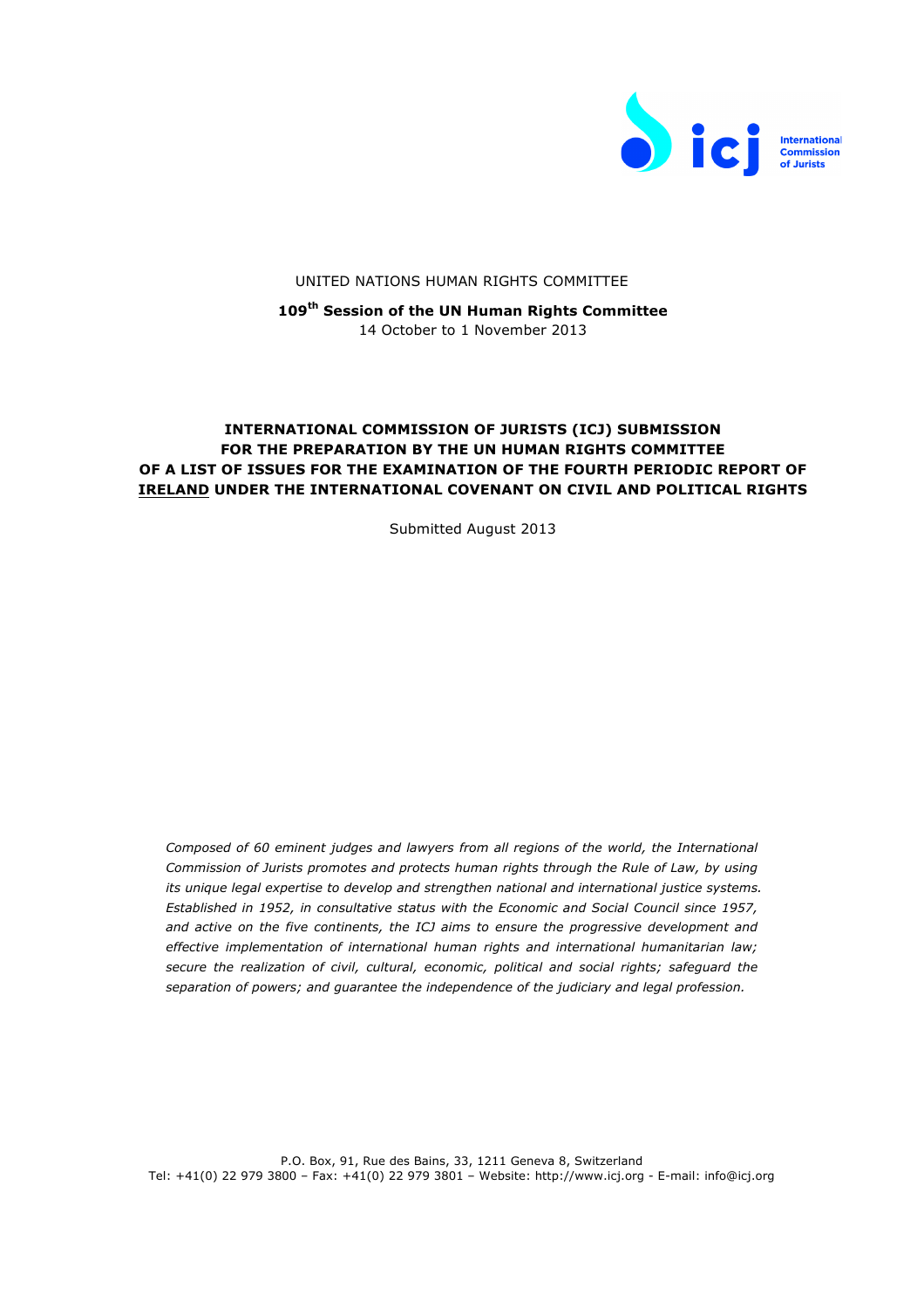

## UNITED NATIONS HUMAN RIGHTS COMMITTEE

**109th Session of the UN Human Rights Committee** 14 October to 1 November 2013

## **INTERNATIONAL COMMISSION OF JURISTS (ICJ) SUBMISSION FOR THE PREPARATION BY THE UN HUMAN RIGHTS COMMITTEE OF A LIST OF ISSUES FOR THE EXAMINATION OF THE FOURTH PERIODIC REPORT OF IRELAND UNDER THE INTERNATIONAL COVENANT ON CIVIL AND POLITICAL RIGHTS**

Submitted August 2013

*Composed of 60 eminent judges and lawyers from all regions of the world, the International Commission of Jurists promotes and protects human rights through the Rule of Law, by using its unique legal expertise to develop and strengthen national and international justice systems. Established in 1952, in consultative status with the Economic and Social Council since 1957, and active on the five continents, the ICJ aims to ensure the progressive development and effective implementation of international human rights and international humanitarian law; secure the realization of civil, cultural, economic, political and social rights; safeguard the separation of powers; and guarantee the independence of the judiciary and legal profession.*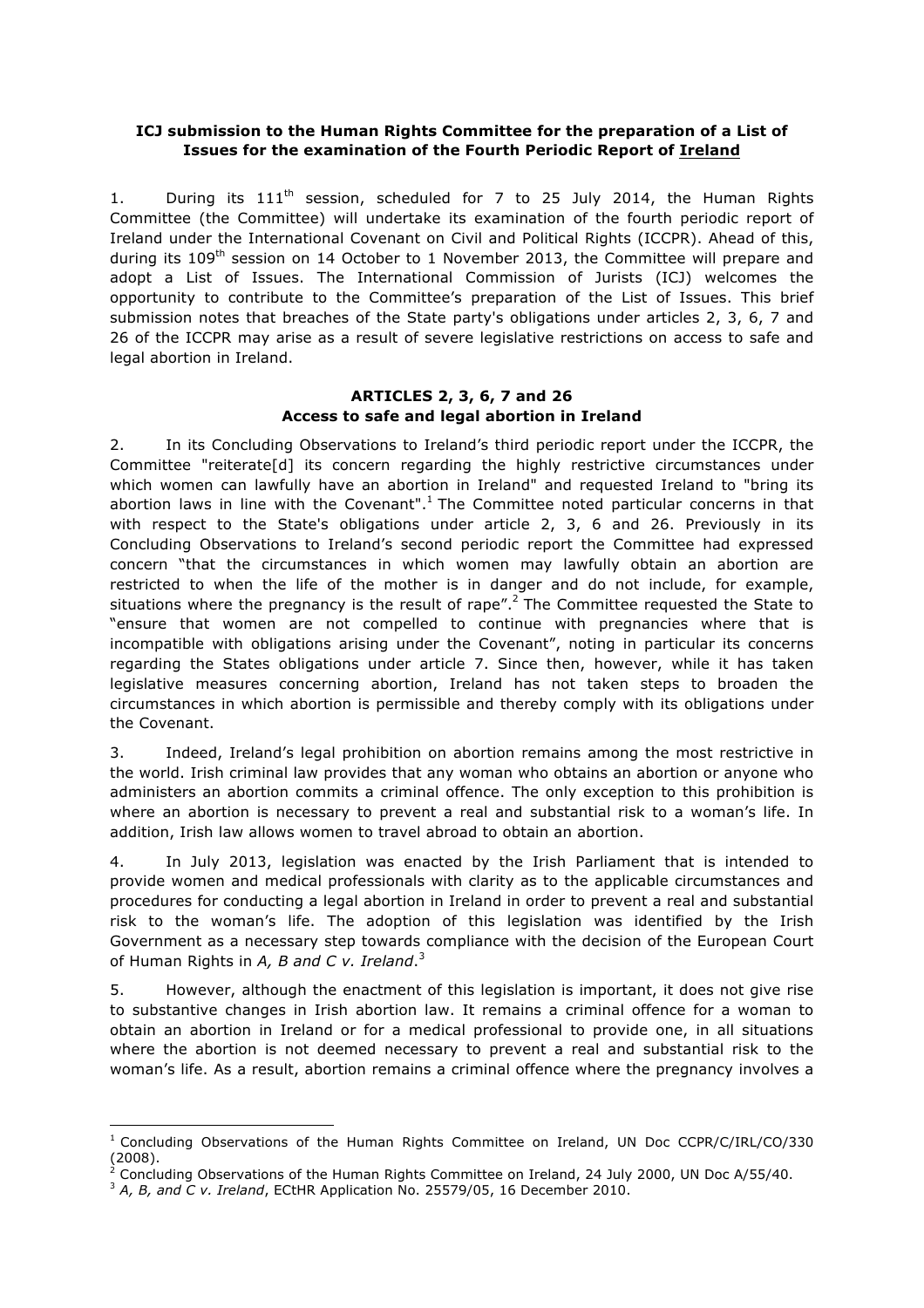## **ICJ submission to the Human Rights Committee for the preparation of a List of Issues for the examination of the Fourth Periodic Report of Ireland**

1. During its  $111<sup>th</sup>$  session, scheduled for 7 to 25 July 2014, the Human Rights Committee (the Committee) will undertake its examination of the fourth periodic report of Ireland under the International Covenant on Civil and Political Rights (ICCPR). Ahead of this, during its  $109<sup>th</sup>$  session on 14 October to 1 November 2013, the Committee will prepare and adopt a List of Issues. The International Commission of Jurists (ICJ) welcomes the opportunity to contribute to the Committee's preparation of the List of Issues. This brief submission notes that breaches of the State party's obligations under articles 2, 3, 6, 7 and 26 of the ICCPR may arise as a result of severe legislative restrictions on access to safe and legal abortion in Ireland.

## **ARTICLES 2, 3, 6, 7 and 26 Access to safe and legal abortion in Ireland**

2. In its Concluding Observations to Ireland's third periodic report under the ICCPR, the Committee "reiterate[d] its concern regarding the highly restrictive circumstances under which women can lawfully have an abortion in Ireland" and requested Ireland to "bring its abortion laws in line with the Covenant".<sup>1</sup> The Committee noted particular concerns in that with respect to the State's obligations under article 2, 3, 6 and 26. Previously in its Concluding Observations to Ireland's second periodic report the Committee had expressed concern "that the circumstances in which women may lawfully obtain an abortion are restricted to when the life of the mother is in danger and do not include, for example, situations where the pregnancy is the result of rape".<sup>2</sup> The Committee requested the State to "ensure that women are not compelled to continue with pregnancies where that is incompatible with obligations arising under the Covenant", noting in particular its concerns regarding the States obligations under article 7. Since then, however, while it has taken legislative measures concerning abortion, Ireland has not taken steps to broaden the circumstances in which abortion is permissible and thereby comply with its obligations under the Covenant.

3. Indeed, Ireland's legal prohibition on abortion remains among the most restrictive in the world. Irish criminal law provides that any woman who obtains an abortion or anyone who administers an abortion commits a criminal offence. The only exception to this prohibition is where an abortion is necessary to prevent a real and substantial risk to a woman's life. In addition, Irish law allows women to travel abroad to obtain an abortion.

4. In July 2013, legislation was enacted by the Irish Parliament that is intended to provide women and medical professionals with clarity as to the applicable circumstances and procedures for conducting a legal abortion in Ireland in order to prevent a real and substantial risk to the woman's life. The adoption of this legislation was identified by the Irish Government as a necessary step towards compliance with the decision of the European Court of Human Rights in *A, B and C v. Ireland*. 3

5. However, although the enactment of this legislation is important, it does not give rise to substantive changes in Irish abortion law. It remains a criminal offence for a woman to obtain an abortion in Ireland or for a medical professional to provide one, in all situations where the abortion is not deemed necessary to prevent a real and substantial risk to the woman's life. As a result, abortion remains a criminal offence where the pregnancy involves a

 

 $1$  Concluding Observations of the Human Rights Committee on Ireland, UN Doc CCPR/C/IRL/CO/330  $(2008)$ .

<sup>2</sup> Concluding Observations of the Human Rights Committee on Ireland, 24 July 2000, UN Doc A/55/40.

<sup>&</sup>lt;sup>3</sup> A, B, and C v. Ireland, ECtHR Application No. 25579/05, 16 December 2010.